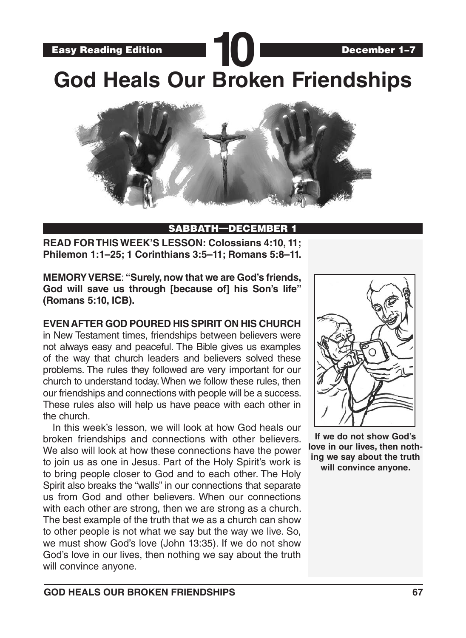Easy Reading Edition **10** December 1–7 **God Heals Our Broken Friendships**



### SABBATH-DECEMBER

**READ FOR THIS WEEK'S LESSON: Colossians 4:10, 11; Philemon 1:1–25; 1 Corinthians 3:5–11; Romans 5:8–11.**

**MEMORY VERSE**: **"Surely, now that we are God's friends, God will save us through [because of] his Son's life" (Romans 5:10, ICB).**

**EVEN AFTER GOD POURED HIS SPIRIT ON HIS CHURCH** in New Testament times, friendships between believers were not always easy and peaceful. The Bible gives us examples of the way that church leaders and believers solved these problems. The rules they followed are very important for our church to understand today. When we follow these rules, then our friendships and connections with people will be a success. These rules also will help us have peace with each other in the church.

In this week's lesson, we will look at how God heals our broken friendships and connections with other believers. We also will look at how these connections have the power to join us as one in Jesus. Part of the Holy Spirit's work is to bring people closer to God and to each other. The Holy Spirit also breaks the "walls" in our connections that separate us from God and other believers. When our connections with each other are strong, then we are strong as a church. The best example of the truth that we as a church can show to other people is not what we say but the way we live. So, we must show God's love (John 13:35). If we do not show God's love in our lives, then nothing we say about the truth will convince anyone.



**If we do not show God's love in our lives, then nothing we say about the truth will convince anyone.**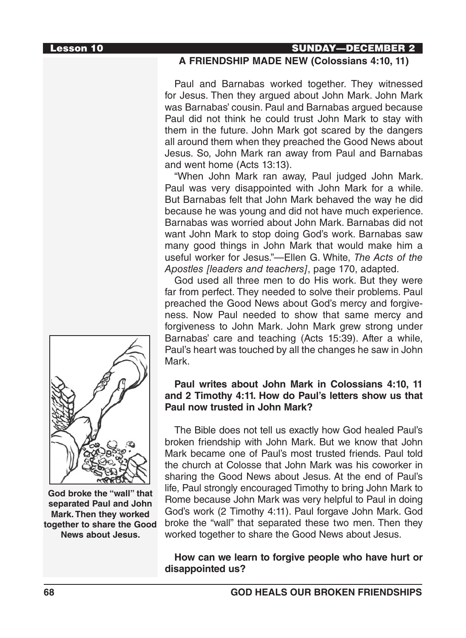### Lesson 10 SUNDAY—DECEMBER 2

### **A FRIENDSHIP MADE NEW (Colossians 4:10, 11)**

Paul and Barnabas worked together. They witnessed for Jesus. Then they argued about John Mark. John Mark was Barnabas' cousin. Paul and Barnabas argued because Paul did not think he could trust John Mark to stay with them in the future. John Mark got scared by the dangers all around them when they preached the Good News about Jesus. So, John Mark ran away from Paul and Barnabas and went home (Acts 13:13).

"When John Mark ran away, Paul judged John Mark. Paul was very disappointed with John Mark for a while. But Barnabas felt that John Mark behaved the way he did because he was young and did not have much experience. Barnabas was worried about John Mark. Barnabas did not want John Mark to stop doing God's work. Barnabas saw many good things in John Mark that would make him a useful worker for Jesus."—Ellen G. White, *The Acts of the Apostles [leaders and teachers]*, page 170, adapted.

God used all three men to do His work. But they were far from perfect. They needed to solve their problems. Paul preached the Good News about God's mercy and forgiveness. Now Paul needed to show that same mercy and forgiveness to John Mark. John Mark grew strong under Barnabas' care and teaching (Acts 15:39). After a while, Paul's heart was touched by all the changes he saw in John Mark.

### **Paul writes about John Mark in Colossians 4:10, 11 and 2 Timothy 4:11. How do Paul's letters show us that Paul now trusted in John Mark?**

The Bible does not tell us exactly how God healed Paul's broken friendship with John Mark. But we know that John Mark became one of Paul's most trusted friends. Paul told the church at Colosse that John Mark was his coworker in sharing the Good News about Jesus. At the end of Paul's life, Paul strongly encouraged Timothy to bring John Mark to Rome because John Mark was very helpful to Paul in doing God's work (2 Timothy 4:11). Paul forgave John Mark. God broke the "wall" that separated these two men. Then they worked together to share the Good News about Jesus.

**How can we learn to forgive people who have hurt or disappointed us?**



**God broke the "wall" that separated Paul and John Mark. Then they worked together to share the Good News about Jesus.**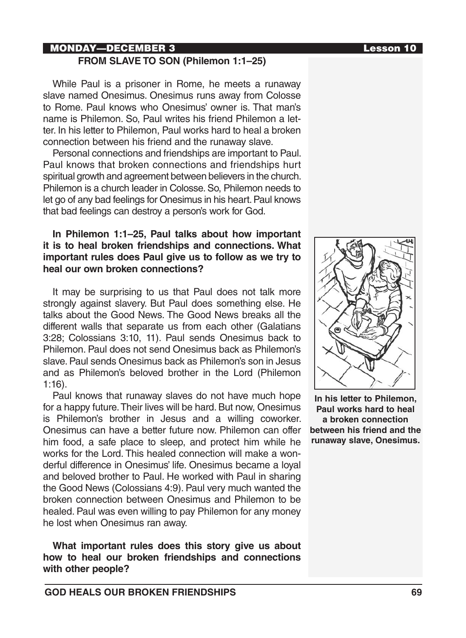# MONDAY—DECEMBER 3 Lesson 10

### **FROM SLAVE TO SON (Philemon 1:1–25)**

While Paul is a prisoner in Rome, he meets a runaway slave named Onesimus. Onesimus runs away from Colosse to Rome. Paul knows who Onesimus' owner is. That man's name is Philemon. So, Paul writes his friend Philemon a letter. In his letter to Philemon, Paul works hard to heal a broken connection between his friend and the runaway slave.

Personal connections and friendships are important to Paul. Paul knows that broken connections and friendships hurt spiritual growth and agreement between believers in the church. Philemon is a church leader in Colosse. So, Philemon needs to let go of any bad feelings for Onesimus in his heart. Paul knows that bad feelings can destroy a person's work for God.

### **In Philemon 1:1–25, Paul talks about how important it is to heal broken friendships and connections. What important rules does Paul give us to follow as we try to heal our own broken connections?**

It may be surprising to us that Paul does not talk more strongly against slavery. But Paul does something else. He talks about the Good News. The Good News breaks all the different walls that separate us from each other (Galatians 3:28; Colossians 3:10, 11). Paul sends Onesimus back to Philemon. Paul does not send Onesimus back as Philemon's slave. Paul sends Onesimus back as Philemon's son in Jesus and as Philemon's beloved brother in the Lord (Philemon 1:16).

Paul knows that runaway slaves do not have much hope for a happy future. Their lives will be hard. But now, Onesimus is Philemon's brother in Jesus and a willing coworker. Onesimus can have a better future now. Philemon can offer him food, a safe place to sleep, and protect him while he works for the Lord. This healed connection will make a wonderful difference in Onesimus' life. Onesimus became a loyal and beloved brother to Paul. He worked with Paul in sharing the Good News (Colossians 4:9). Paul very much wanted the broken connection between Onesimus and Philemon to be healed. Paul was even willing to pay Philemon for any money he lost when Onesimus ran away.

**What important rules does this story give us about how to heal our broken friendships and connections with other people?**



**In his letter to Philemon, Paul works hard to heal a broken connection between his friend and the runaway slave, Onesimus.**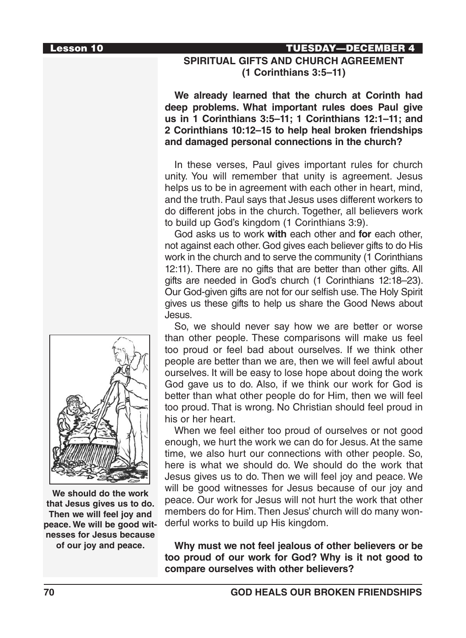#### Lesson 10 TUESDAY—DECEMBER 4

### **SPIRITUAL GIFTS AND CHURCH AGREEMENT (1 Corinthians 3:5–11)**

**We already learned that the church at Corinth had deep problems. What important rules does Paul give us in 1 Corinthians 3:5–11; 1 Corinthians 12:1–11; and 2 Corinthians 10:12–15 to help heal broken friendships and damaged personal connections in the church?**

In these verses, Paul gives important rules for church unity. You will remember that unity is agreement. Jesus helps us to be in agreement with each other in heart, mind, and the truth. Paul says that Jesus uses different workers to do different jobs in the church. Together, all believers work to build up God's kingdom (1 Corinthians 3:9).

God asks us to work **with** each other and **for** each other, not against each other. God gives each believer gifts to do His work in the church and to serve the community (1 Corinthians 12:11). There are no gifts that are better than other gifts. All gifts are needed in God's church (1 Corinthians 12:18–23). Our God-given gifts are not for our selfish use. The Holy Spirit gives us these gifts to help us share the Good News about Jesus.

So, we should never say how we are better or worse than other people. These comparisons will make us feel too proud or feel bad about ourselves. If we think other people are better than we are, then we will feel awful about ourselves. It will be easy to lose hope about doing the work God gave us to do. Also, if we think our work for God is better than what other people do for Him, then we will feel too proud. That is wrong. No Christian should feel proud in his or her heart.

When we feel either too proud of ourselves or not good enough, we hurt the work we can do for Jesus. At the same time, we also hurt our connections with other people. So, here is what we should do. We should do the work that Jesus gives us to do. Then we will feel joy and peace. We will be good witnesses for Jesus because of our joy and peace. Our work for Jesus will not hurt the work that other members do for Him. Then Jesus' church will do many wonderful works to build up His kingdom.

**Why must we not feel jealous of other believers or be too proud of our work for God? Why is it not good to compare ourselves with other believers?**



**We should do the work that Jesus gives us to do. Then we will feel joy and peace. We will be good witnesses for Jesus because of our joy and peace.**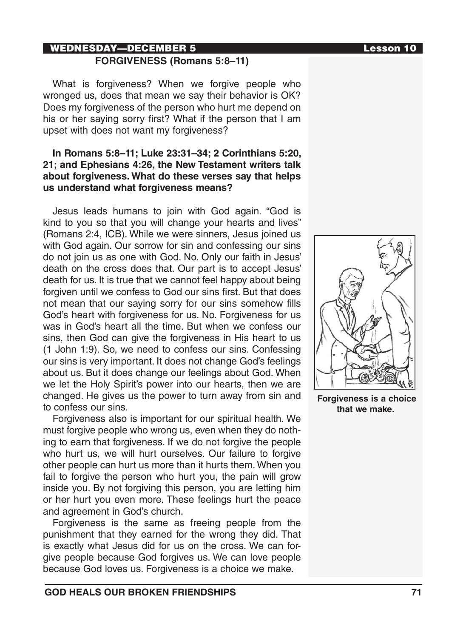# WEDNESDAY—DECEMBER 5 Lesson 10 **FORGIVENESS (Romans 5:8–11)**

What is forgiveness? When we forgive people who wronged us, does that mean we say their behavior is OK? Does my forgiveness of the person who hurt me depend on his or her saying sorry first? What if the person that I am upset with does not want my forgiveness?

### **In Romans 5:8–11; Luke 23:31–34; 2 Corinthians 5:20, 21; and Ephesians 4:26, the New Testament writers talk about forgiveness. What do these verses say that helps us understand what forgiveness means?**

Jesus leads humans to join with God again. "God is kind to you so that you will change your hearts and lives" (Romans 2:4, ICB). While we were sinners, Jesus joined us with God again. Our sorrow for sin and confessing our sins do not join us as one with God. No. Only our faith in Jesus' death on the cross does that. Our part is to accept Jesus' death for us. It is true that we cannot feel happy about being forgiven until we confess to God our sins first. But that does not mean that our saying sorry for our sins somehow fills God's heart with forgiveness for us. No. Forgiveness for us was in God's heart all the time. But when we confess our sins, then God can give the forgiveness in His heart to us (1 John 1:9). So, we need to confess our sins. Confessing our sins is very important. It does not change God's feelings about us. But it does change our feelings about God. When we let the Holy Spirit's power into our hearts, then we are changed. He gives us the power to turn away from sin and to confess our sins.

Forgiveness also is important for our spiritual health. We must forgive people who wrong us, even when they do nothing to earn that forgiveness. If we do not forgive the people who hurt us, we will hurt ourselves. Our failure to forgive other people can hurt us more than it hurts them. When you fail to forgive the person who hurt you, the pain will grow inside you. By not forgiving this person, you are letting him or her hurt you even more. These feelings hurt the peace and agreement in God's church.

Forgiveness is the same as freeing people from the punishment that they earned for the wrong they did. That is exactly what Jesus did for us on the cross. We can forgive people because God forgives us. We can love people because God loves us. Forgiveness is a choice we make.



 **Forgiveness is a choice that we make.**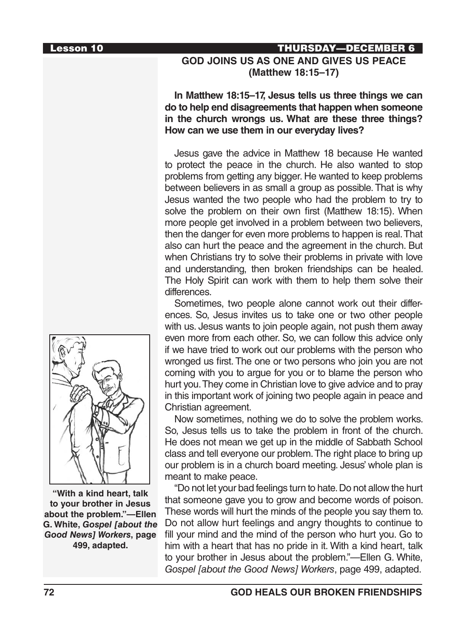### Lesson 10 THURSDAY—DECEMBER 6

# **GOD JOINS US AS ONE AND GIVES US PEACE (Matthew 18:15–17)**

**In Matthew 18:15–17, Jesus tells us three things we can do to help end disagreements that happen when someone in the church wrongs us. What are these three things? How can we use them in our everyday lives?**

Jesus gave the advice in Matthew 18 because He wanted to protect the peace in the church. He also wanted to stop problems from getting any bigger. He wanted to keep problems between believers in as small a group as possible. That is why Jesus wanted the two people who had the problem to try to solve the problem on their own first (Matthew 18:15). When more people get involved in a problem between two believers, then the danger for even more problems to happen is real. That also can hurt the peace and the agreement in the church. But when Christians try to solve their problems in private with love and understanding, then broken friendships can be healed. The Holy Spirit can work with them to help them solve their differences.

Sometimes, two people alone cannot work out their differences. So, Jesus invites us to take one or two other people with us. Jesus wants to join people again, not push them away even more from each other. So, we can follow this advice only if we have tried to work out our problems with the person who wronged us first. The one or two persons who join you are not coming with you to argue for you or to blame the person who hurt you. They come in Christian love to give advice and to pray in this important work of joining two people again in peace and Christian agreement.

Now sometimes, nothing we do to solve the problem works. So, Jesus tells us to take the problem in front of the church. He does not mean we get up in the middle of Sabbath School class and tell everyone our problem. The right place to bring up our problem is in a church board meeting. Jesus' whole plan is meant to make peace.

"Do not let your bad feelings turn to hate. Do not allow the hurt that someone gave you to grow and become words of poison. These words will hurt the minds of the people you say them to. Do not allow hurt feelings and angry thoughts to continue to fill your mind and the mind of the person who hurt you. Go to him with a heart that has no pride in it. With a kind heart, talk to your brother in Jesus about the problem."—Ellen G. White, *Gospel [about the Good News] Workers*, page 499, adapted.



**"With a kind heart, talk to your brother in Jesus about the problem."—Ellen G. White,** *Gospel [about the Good News] Workers***, page 499, adapted.**